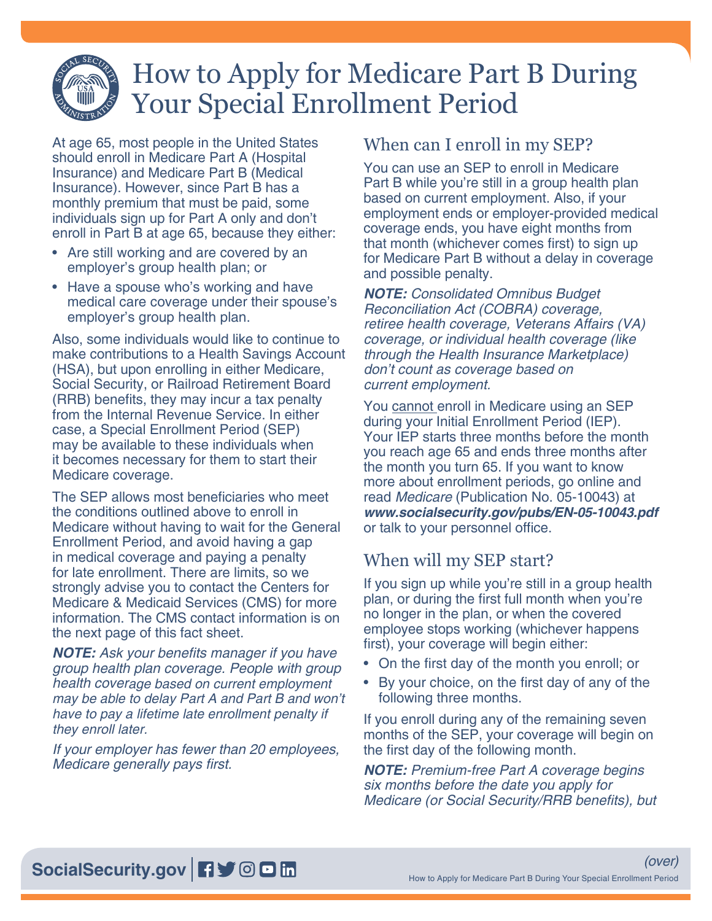

# How to Apply for Medicare Part B During Your Special Enrollment Period

At age 65, most people in the United States should enroll in Medicare Part A (Hospital Insurance) and Medicare Part B (Medical Insurance). However, since Part B has a monthly premium that must be paid, some individuals sign up for Part A only and don't enroll in Part B at age 65, because they either:

- Are still working and are covered by an employer's group health plan; or
- Have a spouse who's working and have medical care coverage under their spouse's employer's group health plan.

Also, some individuals would like to continue to make contributions to a Health Savings Account (HSA), but upon enrolling in either Medicare, Social Security, or Railroad Retirement Board (RRB) benefits, they may incur a tax penalty from the Internal Revenue Service. In either case, a Special Enrollment Period (SEP) may be available to these individuals when it becomes necessary for them to start their Medicare coverage.

The SEP allows most beneficiaries who meet the conditions outlined above to enroll in Medicare without having to wait for the General Enrollment Period, and avoid having a gap in medical coverage and paying a penalty for late enrollment. There are limits, so we strongly advise you to contact the Centers for Medicare & Medicaid Services (CMS) for more information. The CMS contact information is on the next page of this fact sheet.

*NOTE:* Ask your benefits manager if you have group health plan coverage. People with group health coverage based on current employment may be able to delay Part A and Part B and won't have to pay a lifetime late enrollment penalty if they enroll later.

If your employer has fewer than 20 employees, Medicare generally pays first.

### When can I enroll in my SEP?

You can use an SEP to enroll in Medicare Part B while you're still in a group health plan based on current employment. Also, if your employment ends or employer-provided medical coverage ends, you have eight months from that month (whichever comes first) to sign up for Medicare Part B without a delay in coverage and possible penalty.

*NOTE:* Consolidated Omnibus Budget Reconciliation Act (COBRA) coverage, retiree health coverage, Veterans Affairs (VA) coverage, or individual health coverage (like through the Health Insurance Marketplace) don't count as coverage based on current employment.

You cannot enroll in Medicare using an SEP during your Initial Enrollment Period (IEP). Your IEP starts three months before the month you reach age 65 and ends three months after the month you turn 65. If you want to know more about enrollment periods, go online and read Medicare [\(Publication No. 05-10043\)](https://www.ssa.gov/pubs/EN-05-10043.pdf) at *[www.socialsecurity.gov/pubs/EN-05-10043.pdf](https://www.ssa.gov/pubs/EN-05-10043.pdf)* or talk to your personnel office.

## When will my SEP start?

If you sign up while you're still in a group health plan, or during the first full month when you're no longer in the plan, or when the covered employee stops working (whichever happens first), your coverage will begin either:

- On the first day of the month you enroll; or
- By your choice, on the first day of any of the following three months.

If you enroll during any of the remaining seven months of the SEP, your coverage will begin on the first day of the following month.

*NOTE:* Premium-free Part A coverage begins six months before the date you apply for Medicare (or Social Security/RRB benefits), but